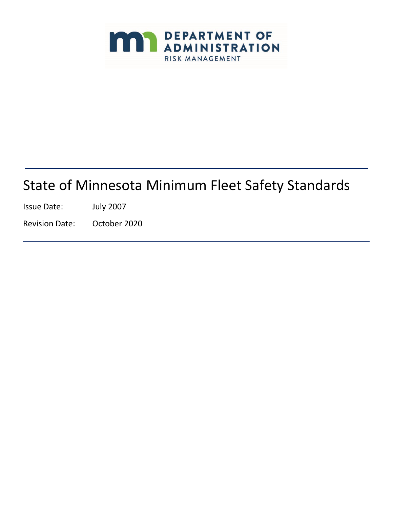

# State of Minnesota Minimum Fleet Safety Standards

Issue Date: July 2007

Revision Date: October 2020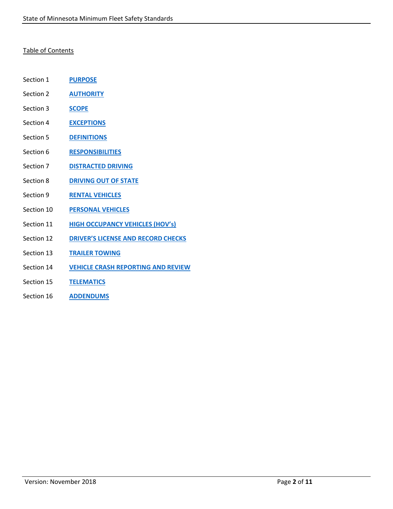## Table of Contents

- Section 1 **[PURPOSE](#page-2-0)**
- Section 2 **[AUTHORITY](#page-2-1)**
- Section 3 **[SCOPE](#page-2-2)**
- Section 4 **[EXCEPTIONS](#page-2-3)**
- Section 5 **[DEFINITIONS](#page-3-0)**
- Section 6 **[RESPONSIBILITIES](#page-4-0)**
- Section 7 **[DISTRACTED](#page-6-0) DRIVING**
- Section 8 **[DRIVING OUT OF](#page-6-1) STATE**
- Section 9 **[RENTAL VEHICLES](#page-7-0)**
- Section 10 **[PERSONAL VEHICLES](#page-7-1)**
- Section 11 **[HIGH OCCUPANCY VEHICLES](#page-7-2) (HOV's)**
- Section 12 **[DRIVER'S LICENSE AND RECORD](#page-8-0) CHECKS**
- Section 13 **TRAILER [TOWING](#page-8-1)**
- Section 14 **[VEHICLE CRASH REPORTING AND](#page-9-0) REVIEW**
- Section 15 **[TELEMATICS](#page-10-0)**
- Section 16 **[ADDENDUMS](#page-10-1)**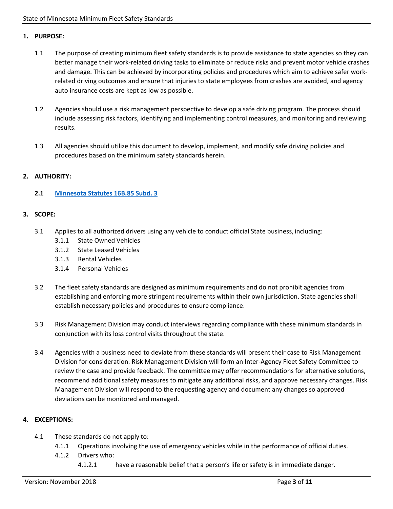## <span id="page-2-0"></span>**1. PURPOSE:**

- 1.1 The purpose of creating minimum fleet safety standards is to provide assistance to state agencies so they can better manage their work-related driving tasks to eliminate or reduce risks and prevent motor vehicle crashes and damage. This can be achieved by incorporating policies and procedures which aim to achieve safer workrelated driving outcomes and ensure that injuries to state employees from crashes are avoided, and agency auto insurance costs are kept as low as possible.
- 1.2 Agencies should use a risk management perspective to develop a safe driving program. The process should include assessing risk factors, identifying and implementing control measures, and monitoring and reviewing results.
- 1.3 All agencies should utilize this document to develop, implement, and modify safe driving policies and procedures based on the minimum safety standards herein.

## <span id="page-2-1"></span>**2. AUTHORITY:**

## **2.1 Minnesota Statutes 16B.85 Subd. 3**

#### <span id="page-2-2"></span>**3. SCOPE:**

- 3.1 Applies to all authorized drivers using any vehicle to conduct official State business, including:
	- 3.1.1 State Owned Vehicles
	- 3.1.2 State Leased Vehicles
	- 3.1.3 Rental Vehicles
	- 3.1.4 Personal Vehicles
- 3.2 The fleet safety standards are designed as minimum requirements and do not prohibit agencies from establishing and enforcing more stringent requirements within their own jurisdiction. State agencies shall establish necessary policies and procedures to ensure compliance.
- 3.3 Risk Management Division may conduct interviews regarding compliance with these minimum standards in conjunction with its loss control visits throughout the state.
- 3.4 Agencies with a business need to deviate from these standards will present their case to Risk Management Division for consideration. Risk Management Division will form an Inter-Agency Fleet Safety Committee to review the case and provide feedback. The committee may offer recommendations for alternative solutions, recommend additional safety measures to mitigate any additional risks, and approve necessary changes. Risk Management Division will respond to the requesting agency and document any changes so approved deviations can be monitored and managed.

## <span id="page-2-3"></span>**4. EXCEPTIONS:**

- 4.1 These standards do not apply to:
	- 4.1.1 Operations involving the use of emergency vehicles while in the performance of officialduties.
	- 4.1.2 Drivers who:
		- 4.1.2.1 have a reasonable belief that a person's life or safety is in immediate danger.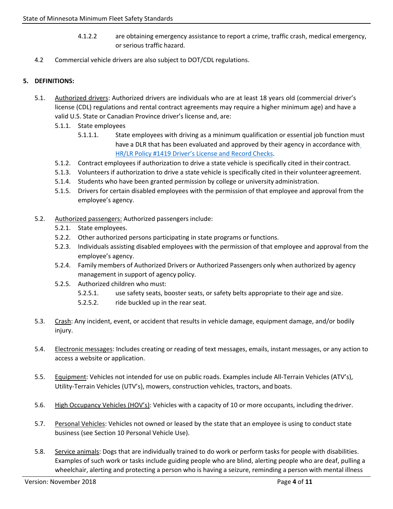- 4.1.2.2 are obtaining emergency assistance to report a crime, traffic crash, medical emergency, or serious traffic hazard.
- 4.2 Commercial vehicle drivers are also subject to DOT/CDL regulations.

## <span id="page-3-0"></span>**5. DEFINITIONS:**

- 5.1. Authorized drivers: Authorized drivers are individuals who are at least 18 years old (commercial driver's license (CDL) regulations and rental contract agreements may require a higher minimum age) and have a valid U.S. State or Canadian Province driver's license and, are:
	- 5.1.1. State employees
		- 5.1.1.1. State employees with driving as a minimum qualification or essential job function must have a DLR that has been evaluated and approved by their agency in accordance with [HR/LR Policy #1419 Driver's License and Record](https://mn.gov/mmb-stat/policies/1419-hrpolicy-dlrchecks.pdf) Checks.
	- 5.1.2. Contract employees if authorization to drive a state vehicle is specifically cited in their contract.
	- 5.1.3. Volunteers if authorization to drive a state vehicle is specifically cited in their volunteeragreement.
	- 5.1.4. Students who have been granted permission by college or university administration.
	- 5.1.5. Drivers for certain disabled employees with the permission of that employee and approval from the employee's agency.
- 5.2. Authorized passengers: Authorized passengers include:
	- 5.2.1. State employees.
	- 5.2.2. Other authorized persons participating in state programs or functions.
	- 5.2.3. Individuals assisting disabled employees with the permission of that employee and approval from the employee's agency.
	- 5.2.4. Family members of Authorized Drivers or Authorized Passengers only when authorized by agency management in support of agency policy.
	- 5.2.5. Authorized children who must:
		- 5.2.5.1. use safety seats, booster seats, or safety belts appropriate to their age and size.
		- 5.2.5.2. ride buckled up in the rear seat.
- 5.3. Crash: Any incident, event, or accident that results in vehicle damage, equipment damage, and/or bodily injury.
- 5.4. Electronic messages: Includes creating or reading of text messages, emails, instant messages, or any action to access a website or application.
- 5.5. Equipment: Vehicles not intended for use on public roads. Examples include All-Terrain Vehicles (ATV's), Utility-Terrain Vehicles (UTV's), mowers, construction vehicles, tractors, and boats.
- 5.6. High Occupancy Vehicles (HOV's): Vehicles with a capacity of 10 or more occupants, including the driver.
- 5.7. Personal Vehicles: Vehicles not owned or leased by the state that an employee is using to conduct state business (see Section 10 Personal Vehicle Use).
- 5.8. Service animals: Dogs that are individually trained to do work or perform tasks for people with disabilities. Examples of such work or tasks include guiding people who are blind, alerting people who are deaf, pulling a wheelchair, alerting and protecting a person who is having a seizure, reminding a person with mental illness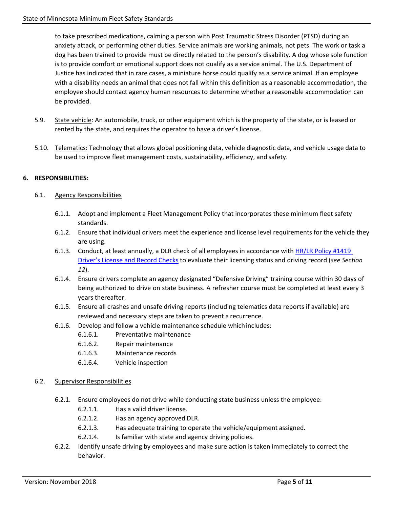to take prescribed medications, calming a person with Post Traumatic Stress Disorder (PTSD) during an anxiety attack, or performing other duties. Service animals are working animals, not pets. The work or task a dog has been trained to provide must be directly related to the person's disability. A dog whose sole function is to provide comfort or emotional support does not qualify as a service animal. The U.S. Department of Justice has indicated that in rare cases, a miniature horse could qualify as a service animal. If an employee with a disability needs an animal that does not fall within this definition as a reasonable accommodation, the employee should contact agency human resources to determine whether a reasonable accommodation can be provided.

- 5.9. State vehicle: An automobile, truck, or other equipment which is the property of the state, or is leased or rented by the state, and requires the operator to have a driver's license.
- 5.10. Telematics: Technology that allows global positioning data, vehicle diagnostic data, and vehicle usage data to be used to improve fleet management costs, sustainability, efficiency, and safety.

# <span id="page-4-0"></span>**6. RESPONSIBILITIES:**

## 6.1. Agency Responsibilities

- 6.1.1. Adopt and implement a Fleet Management Policy that incorporates these minimum fleet safety standards.
- 6.1.2. Ensure that individual drivers meet the experience and license level requirements for the vehicle they are using.
- 6.1.3. Conduct, at least annually, a DLR check of all employees in accordance with [HR/LR Policy #1419](https://mn.gov/mmb-stat/policies/1419-hrpolicy-dlrchecks.pdf)  [Driver's License and Record Checks](https://mn.gov/mmb-stat/policies/1419-hrpolicy-dlrchecks.pdf) to evaluate their licensing status and driving record (*see Section 12*).
- 6.1.4. Ensure drivers complete an agency designated "Defensive Driving" training course within 30 days of being authorized to drive on state business. A refresher course must be completed at least every 3 years thereafter.
- 6.1.5. Ensure all crashes and unsafe driving reports (including telematics data reports if available) are reviewed and necessary steps are taken to prevent a recurrence.
- 6.1.6. Develop and follow a vehicle maintenance schedule whichincludes:
	- 6.1.6.1. Preventative maintenance
	- 6.1.6.2. Repair maintenance
	- 6.1.6.3. Maintenance records
	- 6.1.6.4. Vehicle inspection
- 6.2. Supervisor Responsibilities
	- 6.2.1. Ensure employees do not drive while conducting state business unless the employee:
		- 6.2.1.1. Has a valid driver license.
		- 6.2.1.2. Has an agency approved DLR.
		- 6.2.1.3. Has adequate training to operate the vehicle/equipment assigned.
		- 6.2.1.4. Is familiar with state and agency driving policies.
	- 6.2.2. Identify unsafe driving by employees and make sure action is taken immediately to correct the behavior.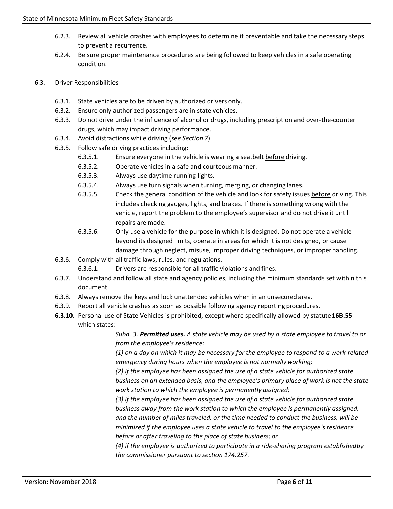- 6.2.3. Review all vehicle crashes with employees to determine if preventable and take the necessary steps to prevent a recurrence.
- 6.2.4. Be sure proper maintenance procedures are being followed to keep vehicles in a safe operating condition.

## 6.3. Driver Responsibilities

- 6.3.1. State vehicles are to be driven by authorized drivers only.
- 6.3.2. Ensure only authorized passengers are in state vehicles.
- 6.3.3. Do not drive under the influence of alcohol or drugs, including prescription and over-the-counter drugs, which may impact driving performance.
- 6.3.4. Avoid distractions while driving (*see Section 7*).
- 6.3.5. Follow safe driving practices including:
	- 6.3.5.1. Ensure everyone in the vehicle is wearing a seatbelt before driving.
	- 6.3.5.2. Operate vehicles in a safe and courteous manner.
	- 6.3.5.3. Always use daytime running lights.
	- 6.3.5.4. Always use turn signals when turning, merging, or changing lanes.
	- 6.3.5.5. Check the general condition of the vehicle and look for safety issues before driving. This includes checking gauges, lights, and brakes. If there is something wrong with the vehicle, report the problem to the employee's supervisor and do not drive it until repairs are made.
	- 6.3.5.6. Only use a vehicle for the purpose in which it is designed. Do not operate a vehicle beyond its designed limits, operate in areas for which it is not designed, or cause damage through neglect, misuse, improper driving techniques, or improperhandling.
- 6.3.6. Comply with all traffic laws, rules, and regulations.
	- 6.3.6.1. Drivers are responsible for all traffic violations and fines.
- 6.3.7. Understand and follow all state and agency policies, including the minimum standards set within this document.
- 6.3.8. Always remove the keys and lock unattended vehicles when in an unsecured area.
- 6.3.9. Report all vehicle crashes as soon as possible following agency reporting procedures.
- **6.3.10.** Personal use of State Vehicles is prohibited, except where specifically allowed by statute**16B.55** which states:

*Subd. 3. Permitted uses. A state vehicle may be used by a state employee to travel to or from the employee's residence:*

*(1) on a day on which it may be necessary for the employee to respond to a work-related emergency during hours when the employee is not normally working;*

*(2) if the employee has been assigned the use of a state vehicle for authorized state business on an extended basis, and the employee's primary place of work is not the state work station to which the employee is permanently assigned;*

*(3) if the employee has been assigned the use of a state vehicle for authorized state business away from the work station to which the employee is permanently assigned, and the number of miles traveled, or the time needed to conduct the business, will be minimized if the employee uses a state vehicle to travel to the employee's residence before or after traveling to the place of state business; or*

*(4) if the employee is authorized to participate in a ride-sharing program establishedby the commissioner pursuant to section 174.257.*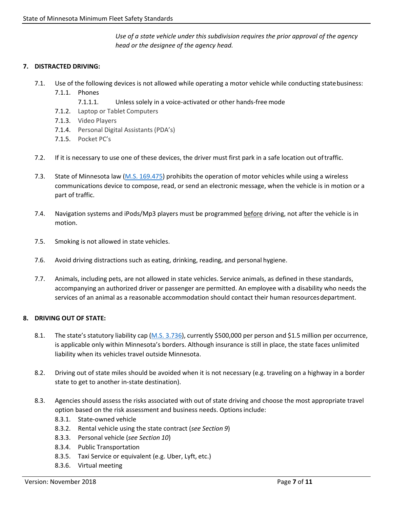*Use of a state vehicle under this subdivision requires the prior approval of the agency head or the designee of the agency head.*

## <span id="page-6-0"></span>**7. DISTRACTED DRIVING:**

- 7.1. Use of the following devices is not allowed while operating a motor vehicle while conducting statebusiness: 7.1.1. Phones
	- 7.1.1.1. Unless solely in a voice-activated or other hands-free mode
	- 7.1.2. Laptop or Tablet Computers
	- 7.1.3. Video Players
	- 7.1.4. Personal Digital Assistants (PDA's)
	- 7.1.5. Pocket PC's
- 7.2. If it is necessary to use one of these devices, the driver must first park in a safe location out oftraffic.
- 7.3. State of Minnesota law (M.S. 169.475) prohibits the operation of motor vehicles while using a wireless communications device to compose, read, or send an electronic message, when the vehicle is in motion or a part of traffic.
- 7.4. Navigation systems and iPods/Mp3 players must be programmed before driving, not after the vehicle is in motion.
- 7.5. Smoking is not allowed in state vehicles.
- 7.6. Avoid driving distractions such as eating, drinking, reading, and personal hygiene.
- 7.7. Animals, including pets, are not allowed in state vehicles. Service animals, as defined in these standards, accompanying an authorized driver or passenger are permitted. An employee with a disability who needs the services of an animal as a reasonable accommodation should contact their human resourcesdepartment.

## <span id="page-6-1"></span>**8. DRIVING OUT OF STATE:**

- 8.1. The state's statutory liability cap (M.S. 3.736), currently \$500,000 per person and \$1.5 million per occurrence, is applicable only within Minnesota's borders. Although insurance is still in place, the state faces unlimited liability when its vehicles travel outside Minnesota.
- 8.2. Driving out of state miles should be avoided when it is not necessary (e.g. traveling on a highway in a border state to get to another in-state destination).
- 8.3. Agencies should assess the risks associated with out of state driving and choose the most appropriate travel option based on the risk assessment and business needs. Options include:
	- 8.3.1. State-owned vehicle
	- 8.3.2. Rental vehicle using the state contract (*see Section 9*)
	- 8.3.3. Personal vehicle (*see Section 10*)
	- 8.3.4. Public Transportation
	- 8.3.5. Taxi Service or equivalent (e.g. Uber, Lyft, etc.)
	- 8.3.6. Virtual meeting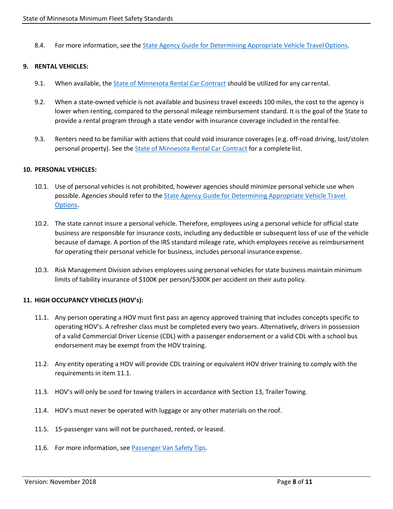8.4. For more information, see the State Agency Guide for Determining Appropriate Vehicle Travel Options.

#### <span id="page-7-0"></span>**9. RENTAL VEHICLES:**

- 9.1. When available, the *State of Minnesota Rental Car Contract* should be utilized for any car rental.
- 9.2. When a state-owned vehicle is not available and business travel exceeds 100 miles, the cost to the agency is lower when renting, compared to the personal mileage reimbursement standard. It is the goal of the State to provide a rental program through a state vendor with insurance coverage included in the rentalfee.
- 9.3. Renters need to be familiar with actions that could void insurance coverages (e.g. off-road driving, lost/stolen personal property). See the State of Minnesota Rental Car Contract for a complete list.

#### <span id="page-7-1"></span>**10. PERSONAL VEHICLES:**

- 10.1. Use of personal vehicles is not prohibited, however agencies should minimize personal vehicle use when possible. Agencies should refer to the State Agency Guide for Determining Appropriate Vehicle Travel Options.
- 10.2. The state cannot insure a personal vehicle. Therefore, employees using a personal vehicle for official state business are responsible for insurance costs, including any deductible or subsequent loss of use of the vehicle because of damage. A portion of the IRS standard mileage rate, which employees receive as reimbursement for operating their personal vehicle for business, includes personal insurance expense.
- 10.3. Risk Management Division advises employees using personal vehicles for state business maintain minimum limits of liability insurance of \$100K per person/\$300K per accident on their auto policy.

## <span id="page-7-2"></span>**11. HIGH OCCUPANCY VEHICLES (HOV's):**

- 11.1. Any person operating a HOV must first pass an agency approved training that includes concepts specific to operating HOV's. A refresher class must be completed every two years. Alternatively, drivers in possession of a valid Commercial Driver License (CDL) with a passenger endorsement or a valid CDL with a school bus endorsement may be exempt from the HOV training.
- 11.2. Any entity operating a HOV will provide CDL training or equivalent HOV driver training to comply with the requirements in item 11.1.
- 11.3. HOV's will only be used for towing trailers in accordance with Section 13, TrailerTowing.
- 11.4. HOV's must never be operated with luggage or any other materials on the roof.
- 11.5. 15-passenger vans will not be purchased, rented, or leased.
- 11.6. For more information, see Passenger Van Safety Tips.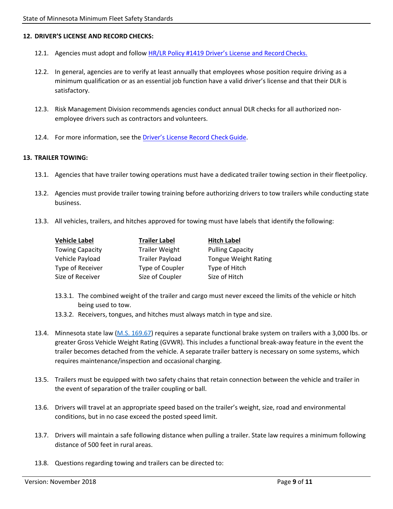#### <span id="page-8-0"></span>**12. DRIVER'S LICENSE AND RECORD CHECKS:**

- 12.1. Agencies must adopt and follow [HR/LR Policy #1419 Driver's License and Record](https://mn.gov/mmb-stat/policies/1419-hrpolicy-dlrchecks.pdf) Checks.
- 12.2. In general, agencies are to verify at least annually that employees whose position require driving as a minimum qualification or as an essential job function have a valid driver's license and that their DLR is satisfactory.
- 12.3. Risk Management Division recommends agencies conduct annual DLR checks for all authorized nonemployee drivers such as contractors and volunteers.
- 12.4. For more information, see the [Driver's License](https://mn.gov/admin/assets/DLR%20Criteria%20February%202019_4-28-21_tcm36-479718.pdf) Record Check Guide.

#### <span id="page-8-1"></span>**13. TRAILER TOWING:**

- 13.1. Agencies that have trailer towing operations must have a dedicated trailer towing section in their fleetpolicy.
- 13.2. Agencies must provide trailer towing training before authorizing drivers to tow trailers while conducting state business.
- 13.3. All vehicles, trailers, and hitches approved for towing must have labels that identify the following:

| <b>Vehicle Label</b>   | <b>Trailer Label</b>   | <b>Hitch Label</b>          |
|------------------------|------------------------|-----------------------------|
| <b>Towing Capacity</b> | <b>Trailer Weight</b>  | <b>Pulling Capacity</b>     |
| Vehicle Payload        | <b>Trailer Payload</b> | <b>Tongue Weight Rating</b> |
| Type of Receiver       | Type of Coupler        | Type of Hitch               |
| Size of Receiver       | Size of Coupler        | Size of Hitch               |

- 13.3.1. The combined weight of the trailer and cargo must never exceed the limits of the vehicle or hitch being used to tow.
- 13.3.2. Receivers, tongues, and hitches must always match in type and size.
- 13.4. Minnesota state law (M.S. 169.67) requires a separate functional brake system on trailers with a 3,000 lbs. or greater Gross Vehicle Weight Rating (GVWR). This includes a functional break-away feature in the event the trailer becomes detached from the vehicle. A separate trailer battery is necessary on some systems, which requires maintenance/inspection and occasional charging.
- 13.5. Trailers must be equipped with two safety chains that retain connection between the vehicle and trailer in the event of separation of the trailer coupling or ball.
- 13.6. Drivers will travel at an appropriate speed based on the trailer's weight, size, road and environmental conditions, but in no case exceed the posted speed limit.
- 13.7. Drivers will maintain a safe following distance when pulling a trailer. State law requires a minimum following distance of 500 feet in rural areas.
- 13.8. Questions regarding towing and trailers can be directed to: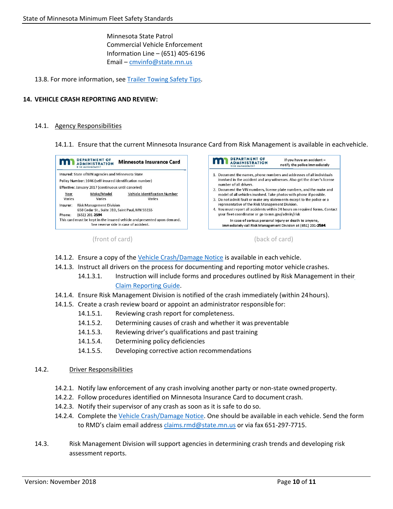Minnesota State Patrol Commercial Vehicle Enforcement Information Line – (651) 405-6196 Email – [cmvinfo@state.mn.us](mailto:cmvinfo@state.mn.us)

13.8. For more information, see Trailer Towing Safety Tips.

#### <span id="page-9-0"></span>**14. VEHICLE CRASH REPORTING AND REVIEW:**

#### 14.1. Agency Responsibilities

14.1.1. Ensure that the current Minnesota Insurance Card from Risk Management is available in eachvehicle.



(front of card) (back of card)

- 14.1.2. Ensure a copy of the Vehicle Crash/Damage Notice is available in each vehicle.
- 14.1.3. Instruct all drivers on the process for documenting and reporting motor vehicle crashes.
	- 14.1.3.1. Instruction will include forms and procedures outlined by Risk Management in their Claim Reporting Guide.
- 14.1.4. Ensure Risk Management Division is notified of the crash immediately (within 24hours).
- 14.1.5. Create a crash review board or appoint an administrator responsible for:
	- 14.1.5.1. Reviewing crash report for completeness.
	- 14.1.5.2. Determining causes of crash and whether it was preventable
	- 14.1.5.3. Reviewing driver's qualifications and past training
	- 14.1.5.4. Determining policy deficiencies
	- 14.1.5.5. Developing corrective action recommendations

#### 14.2. Driver Responsibilities

- 14.2.1. Notify law enforcement of any crash involving another party or non-state owned property.
- 14.2.2. Follow procedures identified on Minnesota Insurance Card to document crash.
- 14.2.3. Notify their supervisor of any crash as soon as it is safe to do so.
- 14.2.4. Complete the Vehicle Crash/Damage Notice. One should be available in each vehicle. Send the form to RMD's claim email address [claims.rmd@state.mn.us](mailto:claims.rmd@state.mn.us) or via fax 651-297-7715.
- 14.3. Risk Management Division will support agencies in determining crash trends and developing risk assessment reports.